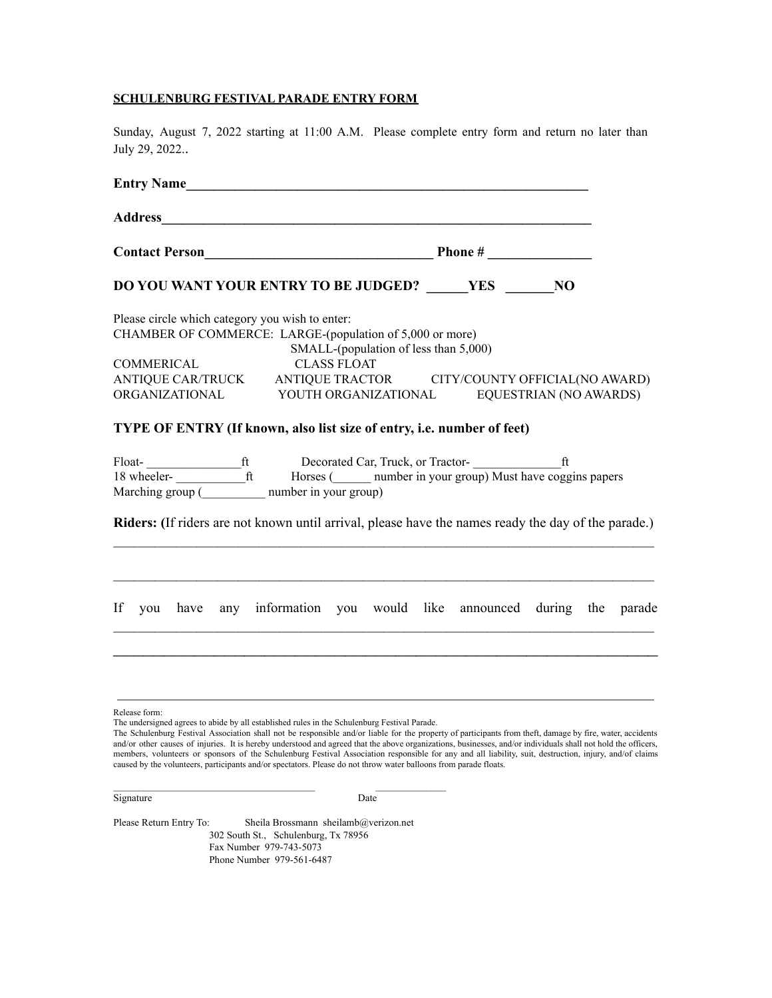#### **SCHULENBURG FESTIVAL PARADE ENTRY FORM**

Sunday, August 7, 2022 starting at 11:00 A.M. Please complete entry form and return no later than July 29, 2022..

| Entry Name                                                                                                                                                                                                                                                                        |                                       |  |  |  |  |
|-----------------------------------------------------------------------------------------------------------------------------------------------------------------------------------------------------------------------------------------------------------------------------------|---------------------------------------|--|--|--|--|
| Address <b>Manual Manual Community of the Community of the Community of the Community of the Community of the Community of the Community of the Community of the Community of the Community of the Community of the Community of</b>                                              |                                       |  |  |  |  |
|                                                                                                                                                                                                                                                                                   |                                       |  |  |  |  |
| DO YOU WANT YOUR ENTRY TO BE JUDGED? YES NO                                                                                                                                                                                                                                       |                                       |  |  |  |  |
| Please circle which category you wish to enter:<br>CHAMBER OF COMMERCE: LARGE-(population of 5,000 or more)<br>COMMERICAL<br><b>CLASS FLOAT</b><br>ANTIQUE CAR/TRUCK ANTIQUE TRACTOR CITY/COUNTY OFFICIAL(NO AWARD)<br>ORGANIZATIONAL YOUTH ORGANIZATIONAL EQUESTRIAN (NO AWARDS) | SMALL-(population of less than 5,000) |  |  |  |  |
| TYPE OF ENTRY (If known, also list size of entry, i.e. number of feet)<br>Marching group $\overline{(\underline{\hspace{1cm}})}$ number in your group)<br>Riders: (If riders are not known until arrival, please have the names ready the day of the parade.)                     |                                       |  |  |  |  |
| If you have any information you would like announced during the parade                                                                                                                                                                                                            |                                       |  |  |  |  |
| Release form:<br>The understand cores to skids hy all established rules in the Cohulanhum Esstiyal Dereds                                                                                                                                                                         |                                       |  |  |  |  |

The undersigned agrees to abide by all established rules in the Schulenburg Festival Parade.

Signature Date Date

 $\mathcal{L}_\text{max} = \mathcal{L}_\text{max} = \mathcal{L}_\text{max} = \mathcal{L}_\text{max} = \mathcal{L}_\text{max} = \mathcal{L}_\text{max} = \mathcal{L}_\text{max} = \mathcal{L}_\text{max} = \mathcal{L}_\text{max} = \mathcal{L}_\text{max} = \mathcal{L}_\text{max} = \mathcal{L}_\text{max} = \mathcal{L}_\text{max} = \mathcal{L}_\text{max} = \mathcal{L}_\text{max} = \mathcal{L}_\text{max} = \mathcal{L}_\text{max} = \mathcal{L}_\text{max} = \mathcal{$ 

Please Return Entry To: Sheila Brossmann sheilamb@verizon.net 302 South St., Schulenburg, Tx 78956 Fax Number 979-743-5073 Phone Number 979-561-6487

The Schulenburg Festival Association shall not be responsible and/or liable for the property of participants from theft, damage by fire, water, accidents and/or other causes of injuries. It is hereby understood and agreed that the above organizations, businesses, and/or individuals shall not hold the officers, members, volunteers or sponsors of the Schulenburg Festival Association responsible for any and all liability, suit, destruction, injury, and/of claims caused by the volunteers, participants and/or spectators. Please do not throw water balloons from parade floats.